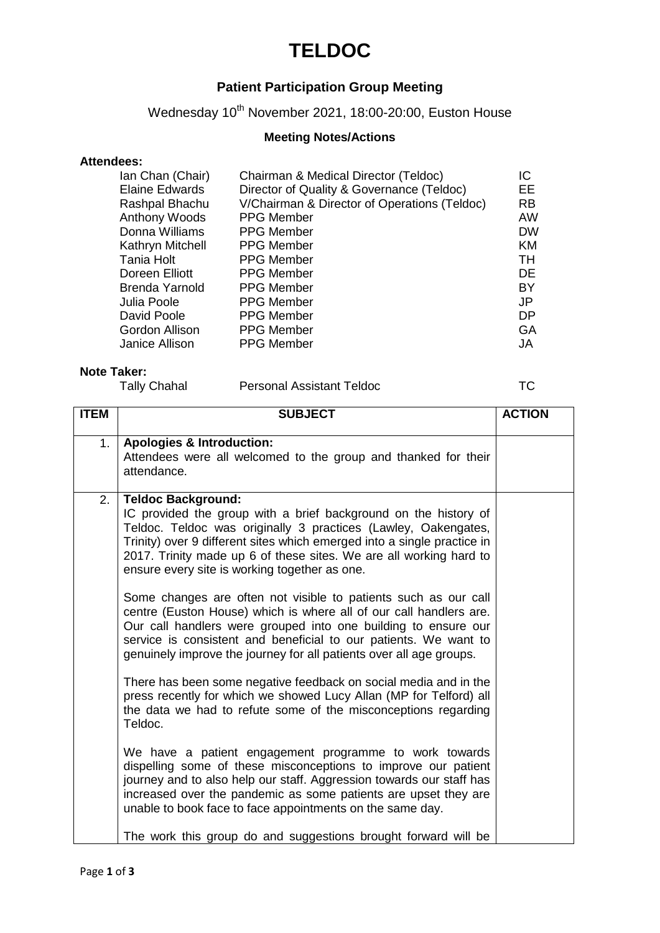### **TELDOC**

### **Patient Participation Group Meeting**

Wednesday 10<sup>th</sup> November 2021, 18:00-20:00, Euston House

#### **Meeting Notes/Actions**

#### **Attendees:**

| Ian Chan (Chair)<br><b>Elaine Edwards</b> | Chairman & Medical Director (Teldoc)<br>Director of Quality & Governance (Teldoc) | IC<br>EЕ  |
|-------------------------------------------|-----------------------------------------------------------------------------------|-----------|
| Rashpal Bhachu                            | V/Chairman & Director of Operations (Teldoc)                                      | <b>RB</b> |
| <b>Anthony Woods</b>                      | <b>PPG Member</b>                                                                 | <b>AW</b> |
| Donna Williams                            | <b>PPG Member</b>                                                                 | <b>DW</b> |
| Kathryn Mitchell                          | <b>PPG Member</b>                                                                 | KM        |
| Tania Holt                                | <b>PPG Member</b>                                                                 | TН        |
| Doreen Elliott                            | <b>PPG Member</b>                                                                 | DE        |
| <b>Brenda Yarnold</b>                     | <b>PPG Member</b>                                                                 | BY        |
| Julia Poole                               | <b>PPG Member</b>                                                                 | JP        |
| David Poole                               | <b>PPG Member</b>                                                                 | DP        |
| Gordon Allison                            | <b>PPG Member</b>                                                                 | GA        |
| Janice Allison                            | <b>PPG Member</b>                                                                 | JA.       |
|                                           |                                                                                   |           |

#### **Note Taker:**

Tally Chahal Personal Assistant Teldoc TC

| <b>ITEM</b> | <b>SUBJECT</b>                                                                                                                                                                                                                                                                                                                                     | <b>ACTION</b> |
|-------------|----------------------------------------------------------------------------------------------------------------------------------------------------------------------------------------------------------------------------------------------------------------------------------------------------------------------------------------------------|---------------|
| 1.          | <b>Apologies &amp; Introduction:</b>                                                                                                                                                                                                                                                                                                               |               |
|             | Attendees were all welcomed to the group and thanked for their<br>attendance.                                                                                                                                                                                                                                                                      |               |
| 2.          | <b>Teldoc Background:</b>                                                                                                                                                                                                                                                                                                                          |               |
|             | IC provided the group with a brief background on the history of<br>Teldoc. Teldoc was originally 3 practices (Lawley, Oakengates,<br>Trinity) over 9 different sites which emerged into a single practice in<br>2017. Trinity made up 6 of these sites. We are all working hard to<br>ensure every site is working together as one.                |               |
|             | Some changes are often not visible to patients such as our call<br>centre (Euston House) which is where all of our call handlers are.<br>Our call handlers were grouped into one building to ensure our<br>service is consistent and beneficial to our patients. We want to<br>genuinely improve the journey for all patients over all age groups. |               |
|             | There has been some negative feedback on social media and in the<br>press recently for which we showed Lucy Allan (MP for Telford) all<br>the data we had to refute some of the misconceptions regarding<br>Teldoc.                                                                                                                                |               |
|             | We have a patient engagement programme to work towards<br>dispelling some of these misconceptions to improve our patient<br>journey and to also help our staff. Aggression towards our staff has<br>increased over the pandemic as some patients are upset they are<br>unable to book face to face appointments on the same day.                   |               |
|             | The work this group do and suggestions brought forward will be                                                                                                                                                                                                                                                                                     |               |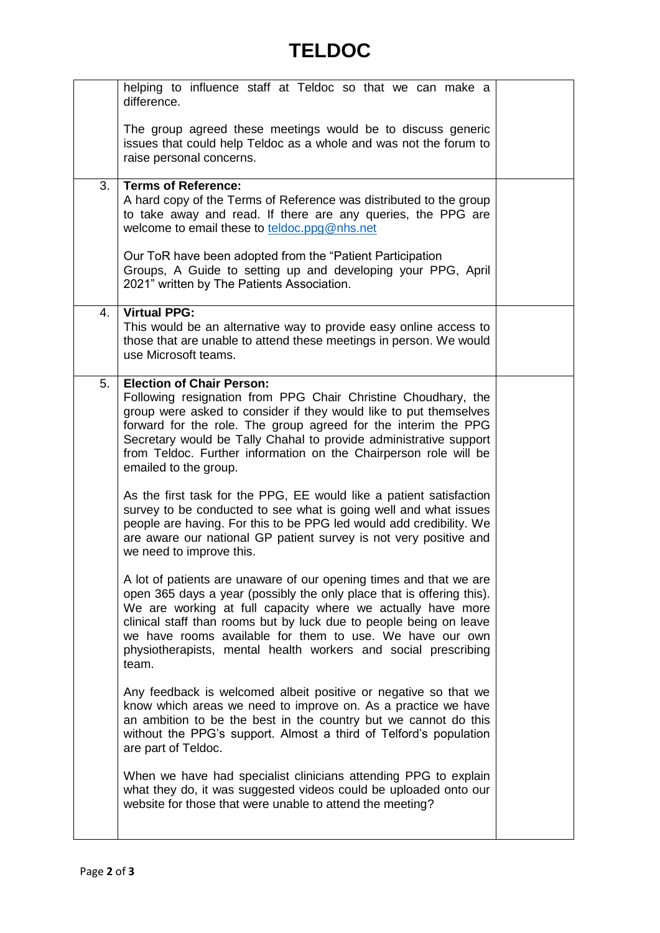# **TELDOC**

|    | helping to influence staff at Teldoc so that we can make a<br>difference.                                                                                                                                                                                                                                                                                                                                               |  |
|----|-------------------------------------------------------------------------------------------------------------------------------------------------------------------------------------------------------------------------------------------------------------------------------------------------------------------------------------------------------------------------------------------------------------------------|--|
|    | The group agreed these meetings would be to discuss generic<br>issues that could help Teldoc as a whole and was not the forum to<br>raise personal concerns.                                                                                                                                                                                                                                                            |  |
| 3. | <b>Terms of Reference:</b><br>A hard copy of the Terms of Reference was distributed to the group<br>to take away and read. If there are any queries, the PPG are<br>welcome to email these to teldoc.ppg@nhs.net                                                                                                                                                                                                        |  |
|    | Our ToR have been adopted from the "Patient Participation"<br>Groups, A Guide to setting up and developing your PPG, April<br>2021" written by The Patients Association.                                                                                                                                                                                                                                                |  |
| 4. | <b>Virtual PPG:</b><br>This would be an alternative way to provide easy online access to<br>those that are unable to attend these meetings in person. We would<br>use Microsoft teams.                                                                                                                                                                                                                                  |  |
| 5. | <b>Election of Chair Person:</b><br>Following resignation from PPG Chair Christine Choudhary, the<br>group were asked to consider if they would like to put themselves<br>forward for the role. The group agreed for the interim the PPG<br>Secretary would be Tally Chahal to provide administrative support<br>from Teldoc. Further information on the Chairperson role will be<br>emailed to the group.              |  |
|    | As the first task for the PPG, EE would like a patient satisfaction<br>survey to be conducted to see what is going well and what issues<br>people are having. For this to be PPG led would add credibility. We<br>are aware our national GP patient survey is not very positive and<br>we need to improve this.                                                                                                         |  |
|    | A lot of patients are unaware of our opening times and that we are<br>open 365 days a year (possibly the only place that is offering this).<br>We are working at full capacity where we actually have more<br>clinical staff than rooms but by luck due to people being on leave<br>we have rooms available for them to use. We have our own<br>physiotherapists, mental health workers and social prescribing<br>team. |  |
|    | Any feedback is welcomed albeit positive or negative so that we<br>know which areas we need to improve on. As a practice we have<br>an ambition to be the best in the country but we cannot do this<br>without the PPG's support. Almost a third of Telford's population<br>are part of Teldoc.                                                                                                                         |  |
|    | When we have had specialist clinicians attending PPG to explain<br>what they do, it was suggested videos could be uploaded onto our<br>website for those that were unable to attend the meeting?                                                                                                                                                                                                                        |  |